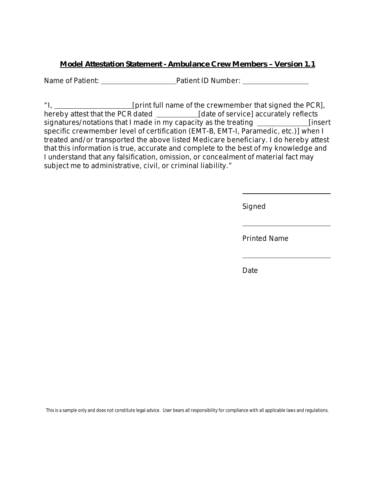## **Model Attestation Statement - Ambulance Crew Members – Version 1.1**

Name of Patient: <u>Name of Patient:</u> Patient ID Number:

"I, [print full name of the crewmember that signed the PCR], hereby attest that the PCR dated \_\_\_\_\_\_\_\_\_\_\_\_\_\_[date of service] accurately reflects signatures/notations that I made in my capacity as the treating  $\frac{1}{\sqrt{1-\frac{1}{n}}}\$  [insert specific crewmember level of certification (EMT-B, EMT-I, Paramedic, etc.)] when I treated and/or transported the above listed Medicare beneficiary. I do hereby attest that this information is true, accurate and complete to the best of my knowledge and I understand that any falsification, omission, or concealment of material fact may subject me to administrative, civil, or criminal liability."

Signed

Printed Name

**Date Date** 

This is a sample only and does not constitute legal advice. User bears all responsibility for compliance with all applicable laws and regulations.